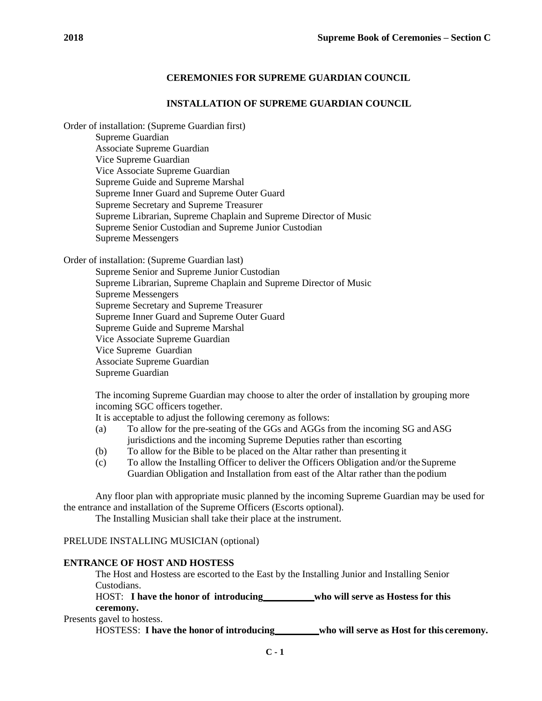# **CEREMONIES FOR SUPREME GUARDIAN COUNCIL**

### **INSTALLATION OF SUPREME GUARDIAN COUNCIL**

Order of installation: (Supreme Guardian first)

Supreme Guardian Associate Supreme Guardian Vice Supreme Guardian Vice Associate Supreme Guardian Supreme Guide and Supreme Marshal Supreme Inner Guard and Supreme Outer Guard Supreme Secretary and Supreme Treasurer Supreme Librarian, Supreme Chaplain and Supreme Director of Music Supreme Senior Custodian and Supreme Junior Custodian Supreme Messengers

Order of installation: (Supreme Guardian last)

Supreme Senior and Supreme Junior Custodian Supreme Librarian, Supreme Chaplain and Supreme Director of Music Supreme Messengers Supreme Secretary and Supreme Treasurer Supreme Inner Guard and Supreme Outer Guard Supreme Guide and Supreme Marshal Vice Associate Supreme Guardian Vice Supreme Guardian Associate Supreme Guardian Supreme Guardian

The incoming Supreme Guardian may choose to alter the order of installation by grouping more incoming SGC officers together.

It is acceptable to adjust the following ceremony as follows:

- (a) To allow for the pre-seating of the GGs and AGGs from the incoming SG andASG jurisdictions and the incoming Supreme Deputies rather than escorting
- (b) To allow for the Bible to be placed on the Altar rather than presenting it
- (c) To allow the Installing Officer to deliver the Officers Obligation and/or theSupreme Guardian Obligation and Installation from east of the Altar rather than the podium

Any floor plan with appropriate music planned by the incoming Supreme Guardian may be used for the entrance and installation of the Supreme Officers (Escorts optional).

The Installing Musician shall take their place at the instrument.

# PRELUDE INSTALLING MUSICIAN (optional)

#### **ENTRANCE OF HOST AND HOSTESS**

The Host and Hostess are escorted to the East by the Installing Junior and Installing Senior Custodians.

HOST: **I have the honor of introducing who will serve as Hostess for this ceremony.**

Presents gavel to hostess.

HOSTESS: **I have the honor of introducing who will serve as Host for this ceremony.**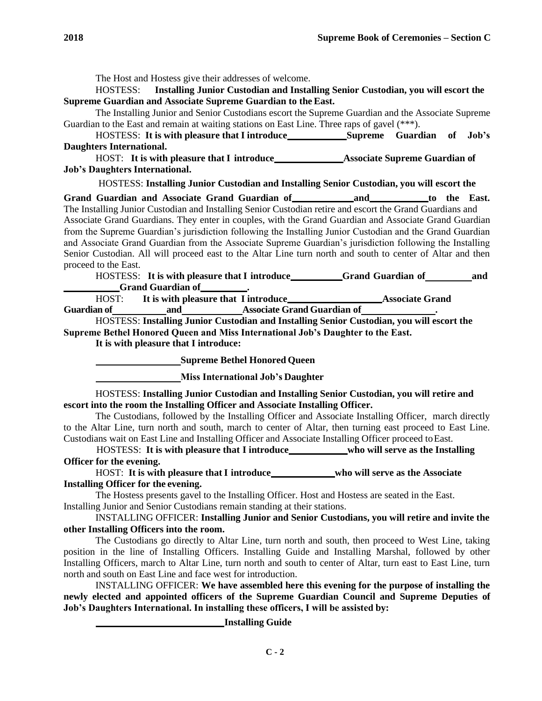The Host and Hostess give their addresses of welcome.

HOSTESS: **Installing Junior Custodian and Installing Senior Custodian, you will escort the Supreme Guardian and Associate Supreme Guardian to the East.**

The Installing Junior and Senior Custodians escort the Supreme Guardian and the Associate Supreme Guardian to the East and remain at waiting stations on East Line. Three raps of gavel (\*\*\*).

HOSTESS: **It is with pleasure that I introduce Supreme Guardian of Job's Daughters International.**

HOST: **It is with pleasure that I introduce Associate Supreme Guardian of Job's Daughters International.**

HOSTESS: **Installing Junior Custodian and Installing Senior Custodian, you will escort the** 

**Grand Guardian and Associate Grand Guardian of and to the East.** The Installing Junior Custodian and Installing Senior Custodian retire and escort the Grand Guardians and Associate Grand Guardians. They enter in couples, with the Grand Guardian and Associate Grand Guardian from the Supreme Guardian's jurisdiction following the Installing Junior Custodian and the Grand Guardian and Associate Grand Guardian from the Associate Supreme Guardian's jurisdiction following the Installing Senior Custodian. All will proceed east to the Altar Line turn north and south to center of Altar and then proceed to the East.

HOSTESS: **It is with pleasure that I introduce Grand Guardian of and Grand Guardian of .**

| HOST:              | It is with pleasure that I introduce |                                    | <b>Associate Grand</b> |
|--------------------|--------------------------------------|------------------------------------|------------------------|
| <b>Guardian of</b> | and                                  | <b>Associate Grand Guardian of</b> |                        |

HOSTESS: **Installing Junior Custodian and Installing Senior Custodian, you will escort the Supreme Bethel Honored Queen and Miss International Job's Daughter to the East.**

**It is with pleasure that I introduce:**

**Supreme Bethel Honored Queen**

**Miss International Job's Daughter**

HOSTESS: **Installing Junior Custodian and Installing Senior Custodian, you will retire and escort into the room the Installing Officer and Associate Installing Officer.**

The Custodians, followed by the Installing Officer and Associate Installing Officer, march directly to the Altar Line, turn north and south, march to center of Altar, then turning east proceed to East Line. Custodians wait on East Line and Installing Officer and Associate Installing Officer proceed toEast.

HOSTESS: **It is with pleasure that I introduce who will serve as the Installing Officer for the evening.**

HOST: It is with pleasure that I introduce\_\_\_\_\_\_\_\_\_\_\_who will serve as the Associate **Installing Officer for the evening.**

The Hostess presents gavel to the Installing Officer. Host and Hostess are seated in the East. Installing Junior and Senior Custodians remain standing at their stations.

## INSTALLING OFFICER: **Installing Junior and Senior Custodians, you will retire and invite the other Installing Officers into the room.**

The Custodians go directly to Altar Line, turn north and south, then proceed to West Line, taking position in the line of Installing Officers. Installing Guide and Installing Marshal, followed by other Installing Officers, march to Altar Line, turn north and south to center of Altar, turn east to East Line, turn north and south on East Line and face west for introduction.

INSTALLING OFFICER: **We have assembled here this evening for the purpose of installing the newly elected and appointed officers of the Supreme Guardian Council and Supreme Deputies of Job's Daughters International. In installing these officers, I will be assisted by:**

**Installing Guide**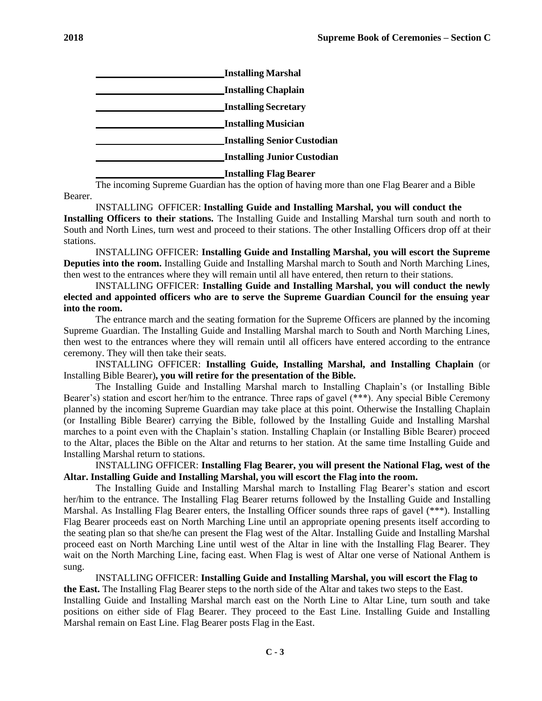| <b>Installing Marshal</b>          |
|------------------------------------|
| <b>Installing Chaplain</b>         |
| <b>Installing Secretary</b>        |
| <b>Installing Musician</b>         |
| <b>Installing Senior Custodian</b> |
| <b>Installing Junior Custodian</b> |
| <b>Installing Flag Bearer</b>      |

Bearer. The incoming Supreme Guardian has the option of having more than one Flag Bearer and a Bible

INSTALLING OFFICER: **Installing Guide and Installing Marshal, you will conduct the Installing Officers to their stations.** The Installing Guide and Installing Marshal turn south and north to South and North Lines, turn west and proceed to their stations. The other Installing Officers drop off at their stations.

INSTALLING OFFICER: **Installing Guide and Installing Marshal, you will escort the Supreme Deputies into the room.** Installing Guide and Installing Marshal march to South and North Marching Lines, then west to the entrances where they will remain until all have entered, then return to their stations.

INSTALLING OFFICER: **Installing Guide and Installing Marshal, you will conduct the newly elected and appointed officers who are to serve the Supreme Guardian Council for the ensuing year into the room.**

The entrance march and the seating formation for the Supreme Officers are planned by the incoming Supreme Guardian. The Installing Guide and Installing Marshal march to South and North Marching Lines, then west to the entrances where they will remain until all officers have entered according to the entrance ceremony. They will then take their seats.

INSTALLING OFFICER: **Installing Guide, Installing Marshal, and Installing Chaplain** (or Installing Bible Bearer)**, you will retire for the presentation of the Bible.**

The Installing Guide and Installing Marshal march to Installing Chaplain's (or Installing Bible Bearer's) station and escort her/him to the entrance. Three raps of gavel (\*\*\*). Any special Bible Ceremony planned by the incoming Supreme Guardian may take place at this point. Otherwise the Installing Chaplain (or Installing Bible Bearer) carrying the Bible, followed by the Installing Guide and Installing Marshal marches to a point even with the Chaplain's station. Installing Chaplain (or Installing Bible Bearer) proceed to the Altar, places the Bible on the Altar and returns to her station. At the same time Installing Guide and Installing Marshal return to stations.

INSTALLING OFFICER: **Installing Flag Bearer, you will present the National Flag, west of the Altar. Installing Guide and Installing Marshal, you will escort the Flag into the room.**

The Installing Guide and Installing Marshal march to Installing Flag Bearer's station and escort her/him to the entrance. The Installing Flag Bearer returns followed by the Installing Guide and Installing Marshal. As Installing Flag Bearer enters, the Installing Officer sounds three raps of gavel (\*\*\*). Installing Flag Bearer proceeds east on North Marching Line until an appropriate opening presents itself according to the seating plan so that she/he can present the Flag west of the Altar. Installing Guide and Installing Marshal proceed east on North Marching Line until west of the Altar in line with the Installing Flag Bearer. They wait on the North Marching Line, facing east. When Flag is west of Altar one verse of National Anthem is sung.

INSTALLING OFFICER: **Installing Guide and Installing Marshal, you will escort the Flag to the East.** The Installing Flag Bearer steps to the north side of the Altar and takes two steps to the East. Installing Guide and Installing Marshal march east on the North Line to Altar Line, turn south and take positions on either side of Flag Bearer. They proceed to the East Line. Installing Guide and Installing Marshal remain on East Line. Flag Bearer posts Flag in the East.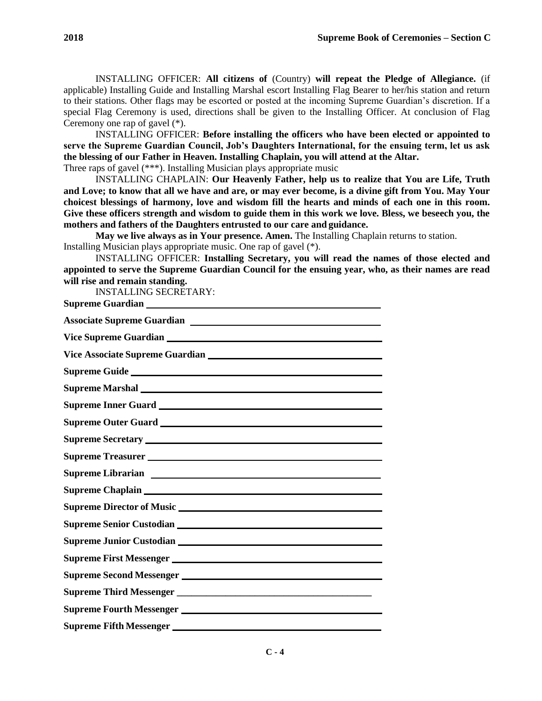INSTALLING OFFICER: **All citizens of** (Country) **will repeat the Pledge of Allegiance.** (if applicable) Installing Guide and Installing Marshal escort Installing Flag Bearer to her/his station and return to their stations. Other flags may be escorted or posted at the incoming Supreme Guardian's discretion. If a special Flag Ceremony is used, directions shall be given to the Installing Officer. At conclusion of Flag Ceremony one rap of gavel (\*).

INSTALLING OFFICER: **Before installing the officers who have been elected or appointed to serve the Supreme Guardian Council, Job's Daughters International, for the ensuing term, let us ask the blessing of our Father in Heaven. Installing Chaplain, you will attend at the Altar.**

Three raps of gavel (\*\*\*). Installing Musician plays appropriate music

INSTALLING CHAPLAIN: **Our Heavenly Father, help us to realize that You are Life, Truth and Love; to know that all we have and are, or may ever become, is a divine gift from You. May Your choicest blessings of harmony, love and wisdom fill the hearts and minds of each one in this room. Give these officers strength and wisdom to guide them in this work we love. Bless, we beseech you, the mothers and fathers of the Daughters entrusted to our care and guidance.**

**May we live always as in Your presence. Amen.** The Installing Chaplain returns to station. Installing Musician plays appropriate music. One rap of gavel (\*).

INSTALLING OFFICER: **Installing Secretary, you will read the names of those elected and appointed to serve the Supreme Guardian Council for the ensuing year, who, as their names are read will rise and remain standing.**

INSTALLING SECRETARY:

**Supreme Guardian Associate Supreme Guardian Vice Supreme Guardian Vice Associate Supreme Guardian Supreme Guide Supreme Marshal Supreme Inner Guard Supreme Outer Guard Supreme Secretary Supreme Treasurer Supreme Librarian Supreme Chaplain Supreme Director of Music Supreme Senior Custodian Supreme Junior Custodian Supreme First Messenger Supreme Second Messenger Supreme Third Messenger \_\_\_\_\_\_\_\_\_\_\_\_\_\_\_\_\_\_\_\_\_\_\_\_\_\_\_\_\_\_\_\_\_\_\_\_\_\_\_\_ Supreme Fourth Messenger Supreme Fifth Messenger**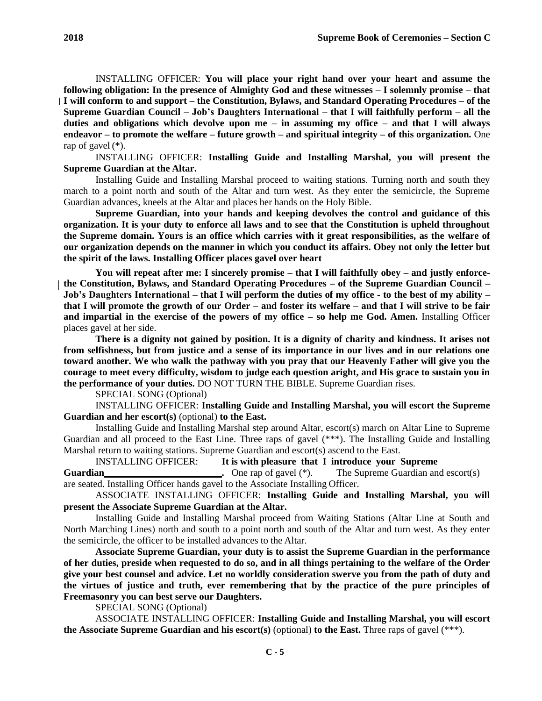INSTALLING OFFICER: **You will place your right hand over your heart and assume the following obligation: In the presence of Almighty God and these witnesses – I solemnly promise – that I will conform to and support – the Constitution, Bylaws, and Standard Operating Procedures – of the Supreme Guardian Council – Job's Daughters International – that I will faithfully perform – all the duties and obligations which devolve upon me – in assuming my office – and that I will always endeavor – to promote the welfare – future growth – and spiritual integrity – of this organization.** One rap of gavel (\*).

INSTALLING OFFICER: **Installing Guide and Installing Marshal, you will present the Supreme Guardian at the Altar.**

Installing Guide and Installing Marshal proceed to waiting stations. Turning north and south they march to a point north and south of the Altar and turn west. As they enter the semicircle, the Supreme Guardian advances, kneels at the Altar and places her hands on the Holy Bible.

**Supreme Guardian, into your hands and keeping devolves the control and guidance of this organization. It is your duty to enforce all laws and to see that the Constitution is upheld throughout the Supreme domain. Yours is an office which carries with it great responsibilities, as the welfare of our organization depends on the manner in which you conduct its affairs. Obey not only the letter but the spirit of the laws. Installing Officer places gavel over heart**

**You will repeat after me: I sincerely promise – that I will faithfully obey – and justly enforcethe Constitution, Bylaws, and Standard Operating Procedures – of the Supreme Guardian Council – Job's Daughters International – that I will perform the duties of my office - to the best of my ability – that I will promote the growth of our Order – and foster its welfare – and that I will strive to be fair and impartial in the exercise of the powers of my office – so help me God. Amen.** Installing Officer places gavel at her side.

**There is a dignity not gained by position. It is a dignity of charity and kindness. It arises not from selfishness, but from justice and a sense of its importance in our lives and in our relations one toward another. We who walk the pathway with you pray that our Heavenly Father will give you the courage to meet every difficulty, wisdom to judge each question aright, and His grace to sustain you in the performance of your duties.** DO NOT TURN THE BIBLE. Supreme Guardian rises.

SPECIAL SONG (Optional)

INSTALLING OFFICER: **Installing Guide and Installing Marshal, you will escort the Supreme Guardian and her escort(s)** (optional) **to the East.**

Installing Guide and Installing Marshal step around Altar, escort(s) march on Altar Line to Supreme Guardian and all proceed to the East Line. Three raps of gavel (\*\*\*). The Installing Guide and Installing Marshal return to waiting stations. Supreme Guardian and escort(s) ascend to the East.

INSTALLING OFFICER: **It is with pleasure that I introduce your Supreme Guardian Cuardian .** One rap of gavel (\*). The Supreme Guardian and escort(s) are seated. Installing Officer hands gavel to the Associate Installing Officer.

ASSOCIATE INSTALLING OFFICER: **Installing Guide and Installing Marshal, you will present the Associate Supreme Guardian at the Altar.**

Installing Guide and Installing Marshal proceed from Waiting Stations (Altar Line at South and North Marching Lines) north and south to a point north and south of the Altar and turn west. As they enter the semicircle, the officer to be installed advances to the Altar.

**Associate Supreme Guardian, your duty is to assist the Supreme Guardian in the performance of her duties, preside when requested to do so, and in all things pertaining to the welfare of the Order give your best counsel and advice. Let no worldly consideration swerve you from the path of duty and the virtues of justice and truth, ever remembering that by the practice of the pure principles of Freemasonry you can best serve our Daughters.**

SPECIAL SONG (Optional)

ASSOCIATE INSTALLING OFFICER: **Installing Guide and Installing Marshal, you will escort the Associate Supreme Guardian and his escort(s)** (optional) **to the East.** Three raps of gavel (\*\*\*).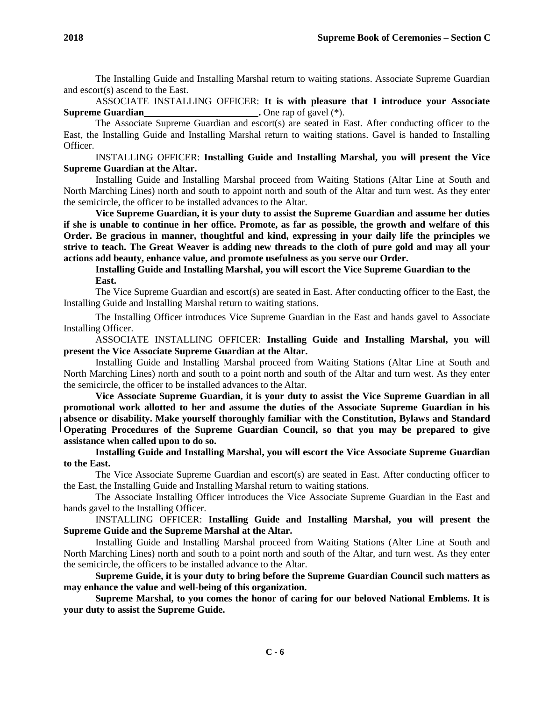The Installing Guide and Installing Marshal return to waiting stations. Associate Supreme Guardian and escort(s) ascend to the East.

ASSOCIATE INSTALLING OFFICER: **It is with pleasure that I introduce your Associate Supreme Guardian .** One rap of gavel (\*).

The Associate Supreme Guardian and escort(s) are seated in East. After conducting officer to the East, the Installing Guide and Installing Marshal return to waiting stations. Gavel is handed to Installing Officer.

INSTALLING OFFICER: **Installing Guide and Installing Marshal, you will present the Vice Supreme Guardian at the Altar.**

Installing Guide and Installing Marshal proceed from Waiting Stations (Altar Line at South and North Marching Lines) north and south to appoint north and south of the Altar and turn west. As they enter the semicircle, the officer to be installed advances to the Altar.

**Vice Supreme Guardian, it is your duty to assist the Supreme Guardian and assume her duties if she is unable to continue in her office. Promote, as far as possible, the growth and welfare of this Order. Be gracious in manner, thoughtful and kind, expressing in your daily life the principles we strive to teach. The Great Weaver is adding new threads to the cloth of pure gold and may all your actions add beauty, enhance value, and promote usefulness as you serve our Order.**

**Installing Guide and Installing Marshal, you will escort the Vice Supreme Guardian to the East.**

The Vice Supreme Guardian and escort(s) are seated in East. After conducting officer to the East, the Installing Guide and Installing Marshal return to waiting stations.

The Installing Officer introduces Vice Supreme Guardian in the East and hands gavel to Associate Installing Officer.

ASSOCIATE INSTALLING OFFICER: **Installing Guide and Installing Marshal, you will present the Vice Associate Supreme Guardian at the Altar.**

Installing Guide and Installing Marshal proceed from Waiting Stations (Altar Line at South and North Marching Lines) north and south to a point north and south of the Altar and turn west. As they enter the semicircle, the officer to be installed advances to the Altar.

**Vice Associate Supreme Guardian, it is your duty to assist the Vice Supreme Guardian in all promotional work allotted to her and assume the duties of the Associate Supreme Guardian in his absence or disability. Make yourself thoroughly familiar with the Constitution, Bylaws and Standard Operating Procedures of the Supreme Guardian Council, so that you may be prepared to give assistance when called upon to do so.**

**Installing Guide and Installing Marshal, you will escort the Vice Associate Supreme Guardian to the East.**

The Vice Associate Supreme Guardian and escort(s) are seated in East. After conducting officer to the East, the Installing Guide and Installing Marshal return to waiting stations.

The Associate Installing Officer introduces the Vice Associate Supreme Guardian in the East and hands gavel to the Installing Officer.

INSTALLING OFFICER: **Installing Guide and Installing Marshal, you will present the Supreme Guide and the Supreme Marshal at the Altar.**

Installing Guide and Installing Marshal proceed from Waiting Stations (Alter Line at South and North Marching Lines) north and south to a point north and south of the Altar, and turn west. As they enter the semicircle, the officers to be installed advance to the Altar.

**Supreme Guide, it is your duty to bring before the Supreme Guardian Council such matters as may enhance the value and well-being of this organization.**

**Supreme Marshal, to you comes the honor of caring for our beloved National Emblems. It is your duty to assist the Supreme Guide.**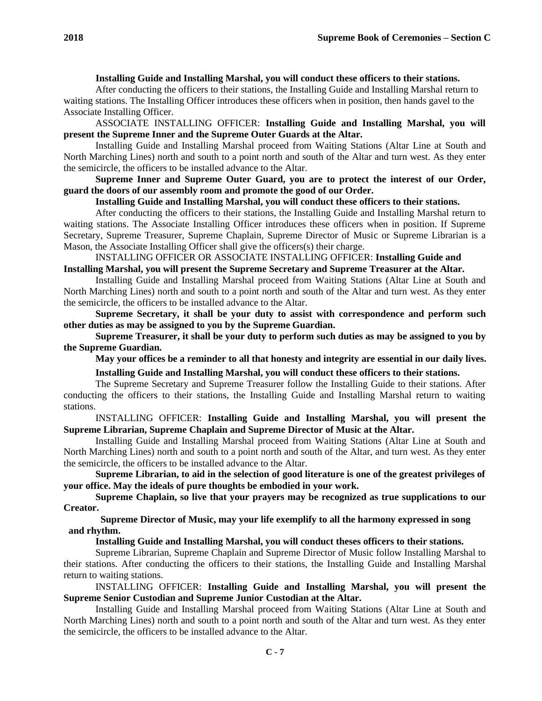# **Installing Guide and Installing Marshal, you will conduct these officers to their stations.**

After conducting the officers to their stations, the Installing Guide and Installing Marshal return to waiting stations. The Installing Officer introduces these officers when in position, then hands gavel to the Associate Installing Officer.

ASSOCIATE INSTALLING OFFICER: **Installing Guide and Installing Marshal, you will present the Supreme Inner and the Supreme Outer Guards at the Altar.**

Installing Guide and Installing Marshal proceed from Waiting Stations (Altar Line at South and North Marching Lines) north and south to a point north and south of the Altar and turn west. As they enter the semicircle, the officers to be installed advance to the Altar.

**Supreme Inner and Supreme Outer Guard, you are to protect the interest of our Order, guard the doors of our assembly room and promote the good of our Order.**

#### **Installing Guide and Installing Marshal, you will conduct these officers to their stations.**

After conducting the officers to their stations, the Installing Guide and Installing Marshal return to waiting stations. The Associate Installing Officer introduces these officers when in position. If Supreme Secretary, Supreme Treasurer, Supreme Chaplain, Supreme Director of Music or Supreme Librarian is a Mason, the Associate Installing Officer shall give the officers(s) their charge.

INSTALLING OFFICER OR ASSOCIATE INSTALLING OFFICER: **Installing Guide and Installing Marshal, you will present the Supreme Secretary and Supreme Treasurer at the Altar.**

Installing Guide and Installing Marshal proceed from Waiting Stations (Altar Line at South and North Marching Lines) north and south to a point north and south of the Altar and turn west. As they enter the semicircle, the officers to be installed advance to the Altar.

**Supreme Secretary, it shall be your duty to assist with correspondence and perform such other duties as may be assigned to you by the Supreme Guardian.**

**Supreme Treasurer, it shall be your duty to perform such duties as may be assigned to you by the Supreme Guardian.**

**May your offices be a reminder to all that honesty and integrity are essential in our daily lives.**

**Installing Guide and Installing Marshal, you will conduct these officers to their stations.**

The Supreme Secretary and Supreme Treasurer follow the Installing Guide to their stations. After conducting the officers to their stations, the Installing Guide and Installing Marshal return to waiting stations.

INSTALLING OFFICER: **Installing Guide and Installing Marshal, you will present the Supreme Librarian, Supreme Chaplain and Supreme Director of Music at the Altar.**

Installing Guide and Installing Marshal proceed from Waiting Stations (Altar Line at South and North Marching Lines) north and south to a point north and south of the Altar, and turn west. As they enter the semicircle, the officers to be installed advance to the Altar.

**Supreme Librarian, to aid in the selection of good literature is one of the greatest privileges of your office. May the ideals of pure thoughts be embodied in your work.**

**Supreme Chaplain, so live that your prayers may be recognized as true supplications to our Creator.**

**Supreme Director of Music, may your life exemplify to all the harmony expressed in song and rhythm.**

**Installing Guide and Installing Marshal, you will conduct theses officers to their stations.**

Supreme Librarian, Supreme Chaplain and Supreme Director of Music follow Installing Marshal to their stations. After conducting the officers to their stations, the Installing Guide and Installing Marshal return to waiting stations.

INSTALLING OFFICER: **Installing Guide and Installing Marshal, you will present the Supreme Senior Custodian and Supreme Junior Custodian at the Altar.**

Installing Guide and Installing Marshal proceed from Waiting Stations (Altar Line at South and North Marching Lines) north and south to a point north and south of the Altar and turn west. As they enter the semicircle, the officers to be installed advance to the Altar.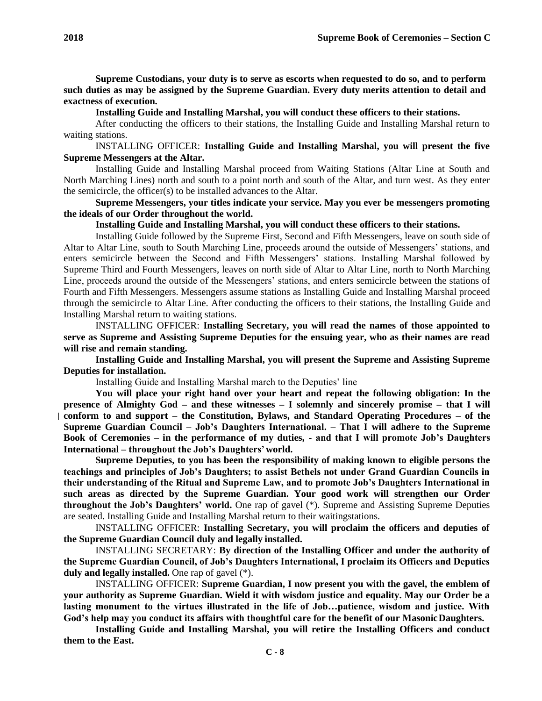**Supreme Custodians, your duty is to serve as escorts when requested to do so, and to perform such duties as may be assigned by the Supreme Guardian. Every duty merits attention to detail and exactness of execution.**

**Installing Guide and Installing Marshal, you will conduct these officers to their stations.**

After conducting the officers to their stations, the Installing Guide and Installing Marshal return to waiting stations.

INSTALLING OFFICER: **Installing Guide and Installing Marshal, you will present the five Supreme Messengers at the Altar.**

Installing Guide and Installing Marshal proceed from Waiting Stations (Altar Line at South and North Marching Lines) north and south to a point north and south of the Altar, and turn west. As they enter the semicircle, the officer(s) to be installed advances to the Altar.

**Supreme Messengers, your titles indicate your service. May you ever be messengers promoting the ideals of our Order throughout the world.**

**Installing Guide and Installing Marshal, you will conduct these officers to their stations.**

Installing Guide followed by the Supreme First, Second and Fifth Messengers, leave on south side of Altar to Altar Line, south to South Marching Line, proceeds around the outside of Messengers' stations, and enters semicircle between the Second and Fifth Messengers' stations. Installing Marshal followed by Supreme Third and Fourth Messengers, leaves on north side of Altar to Altar Line, north to North Marching Line, proceeds around the outside of the Messengers' stations, and enters semicircle between the stations of Fourth and Fifth Messengers. Messengers assume stations as Installing Guide and Installing Marshal proceed through the semicircle to Altar Line. After conducting the officers to their stations, the Installing Guide and Installing Marshal return to waiting stations.

INSTALLING OFFICER: **Installing Secretary, you will read the names of those appointed to serve as Supreme and Assisting Supreme Deputies for the ensuing year, who as their names are read will rise and remain standing.**

**Installing Guide and Installing Marshal, you will present the Supreme and Assisting Supreme Deputies for installation.**

Installing Guide and Installing Marshal march to the Deputies' line

**You will place your right hand over your heart and repeat the following obligation: In the presence of Almighty God – and these witnesses – I solemnly and sincerely promise – that I will conform to and support – the Constitution, Bylaws, and Standard Operating Procedures – of the Supreme Guardian Council – Job's Daughters International. – That I will adhere to the Supreme Book of Ceremonies – in the performance of my duties, - and that I will promote Job's Daughters International – throughout the Job's Daughters'world.**

**Supreme Deputies, to you has been the responsibility of making known to eligible persons the teachings and principles of Job's Daughters; to assist Bethels not under Grand Guardian Councils in their understanding of the Ritual and Supreme Law, and to promote Job's Daughters International in such areas as directed by the Supreme Guardian. Your good work will strengthen our Order throughout the Job's Daughters' world.** One rap of gavel (\*). Supreme and Assisting Supreme Deputies are seated. Installing Guide and Installing Marshal return to their waitingstations.

INSTALLING OFFICER: **Installing Secretary, you will proclaim the officers and deputies of the Supreme Guardian Council duly and legally installed.**

INSTALLING SECRETARY: **By direction of the Installing Officer and under the authority of the Supreme Guardian Council, of Job's Daughters International, I proclaim its Officers and Deputies duly and legally installed.** One rap of gavel (\*).

INSTALLING OFFICER: **Supreme Guardian, I now present you with the gavel, the emblem of your authority as Supreme Guardian. Wield it with wisdom justice and equality. May our Order be a lasting monument to the virtues illustrated in the life of Job…patience, wisdom and justice. With God's help may you conduct its affairs with thoughtful care for the benefit of our MasonicDaughters.**

**Installing Guide and Installing Marshal, you will retire the Installing Officers and conduct them to the East.**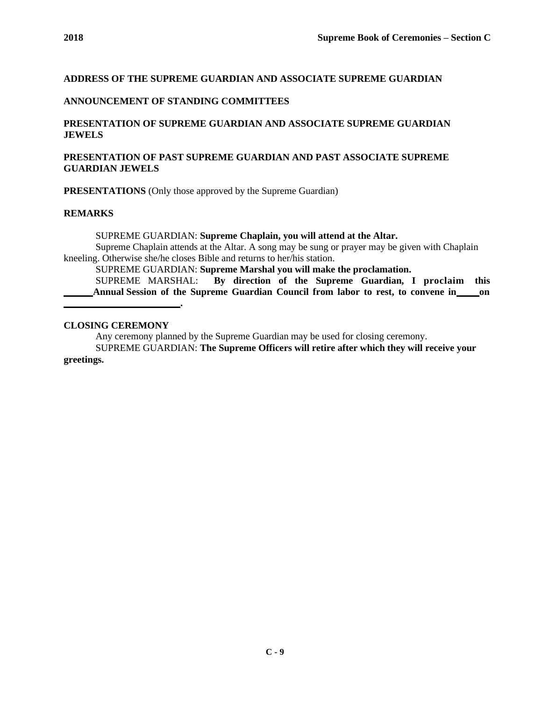# **ADDRESS OF THE SUPREME GUARDIAN AND ASSOCIATE SUPREME GUARDIAN**

#### **ANNOUNCEMENT OF STANDING COMMITTEES**

# **PRESENTATION OF SUPREME GUARDIAN AND ASSOCIATE SUPREME GUARDIAN JEWELS**

# **PRESENTATION OF PAST SUPREME GUARDIAN AND PAST ASSOCIATE SUPREME GUARDIAN JEWELS**

**PRESENTATIONS** (Only those approved by the Supreme Guardian)

**.**

#### **REMARKS**

SUPREME GUARDIAN: **Supreme Chaplain, you will attend at the Altar.**

Supreme Chaplain attends at the Altar. A song may be sung or prayer may be given with Chaplain kneeling. Otherwise she/he closes Bible and returns to her/his station.

SUPREME GUARDIAN: **Supreme Marshal you will make the proclamation.**

SUPREME MARSHAL: **By direction of the Supreme Guardian, I proclaim this Annual Session of the Supreme Guardian Council from labor to rest, to convene in on**

#### **CLOSING CEREMONY**

Any ceremony planned by the Supreme Guardian may be used for closing ceremony.

SUPREME GUARDIAN: **The Supreme Officers will retire after which they will receive your greetings.**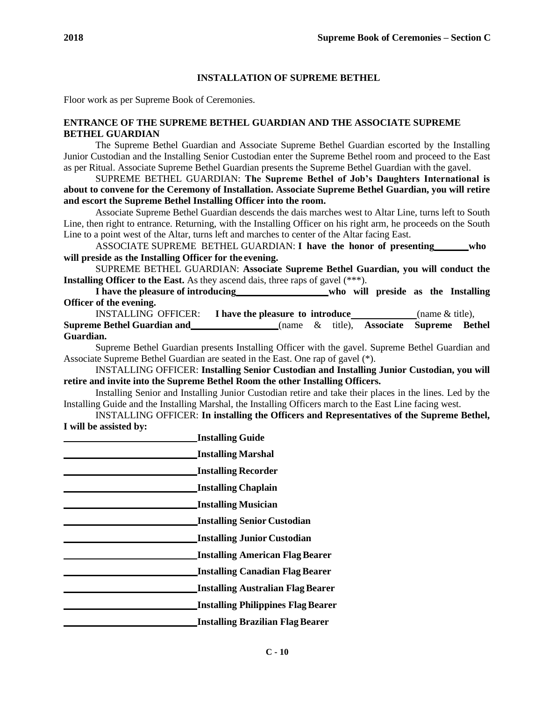## **INSTALLATION OF SUPREME BETHEL**

Floor work as per Supreme Book of Ceremonies.

#### **ENTRANCE OF THE SUPREME BETHEL GUARDIAN AND THE ASSOCIATE SUPREME BETHEL GUARDIAN**

The Supreme Bethel Guardian and Associate Supreme Bethel Guardian escorted by the Installing Junior Custodian and the Installing Senior Custodian enter the Supreme Bethel room and proceed to the East as per Ritual. Associate Supreme Bethel Guardian presents the Supreme Bethel Guardian with the gavel.

SUPREME BETHEL GUARDIAN: **The Supreme Bethel of Job's Daughters International is about to convene for the Ceremony of Installation. Associate Supreme Bethel Guardian, you will retire and escort the Supreme Bethel Installing Officer into the room.**

Associate Supreme Bethel Guardian descends the dais marches west to Altar Line, turns left to South Line, then right to entrance. Returning, with the Installing Officer on his right arm, he proceeds on the South Line to a point west of the Altar, turns left and marches to center of the Altar facing East.

ASSOCIATE SUPREME BETHEL GUARDIAN: **I have the honor of presenting who will preside as the Installing Officer for the evening.**

SUPREME BETHEL GUARDIAN: **Associate Supreme Bethel Guardian, you will conduct the Installing Officer to the East.** As they ascend dais, three raps of gavel (\*\*\*).

**I have the pleasure of introducing who will preside as the Installing Officer of the evening.**

INSTALLING OFFICER: **I have the pleasure to introduce** (name & title),

**Supreme Bethel Guardian and** (name & title), **Associate Supreme Bethel Guardian.**

Supreme Bethel Guardian presents Installing Officer with the gavel. Supreme Bethel Guardian and Associate Supreme Bethel Guardian are seated in the East. One rap of gavel (\*).

INSTALLING OFFICER: **Installing Senior Custodian and Installing Junior Custodian, you will retire and invite into the Supreme Bethel Room the other Installing Officers.**

Installing Senior and Installing Junior Custodian retire and take their places in the lines. Led by the Installing Guide and the Installing Marshal, the Installing Officers march to the East Line facing west.

INSTALLING OFFICER: **In installing the Officers and Representatives of the Supreme Bethel, I will be assisted by:**

| <b>Installing Guide</b>                   |
|-------------------------------------------|
| <b>Installing Marshal</b>                 |
| <b>Installing Recorder</b>                |
| <b>Installing Chaplain</b>                |
| <b>Installing Musician</b>                |
| <b>Installing Senior Custodian</b>        |
| <b>Installing Junior Custodian</b>        |
| <b>Installing American Flag Bearer</b>    |
| <b>Installing Canadian Flag Bearer</b>    |
| <b>Installing Australian Flag Bearer</b>  |
| <b>Installing Philippines Flag Bearer</b> |
| <b>Installing Brazilian Flag Bearer</b>   |
|                                           |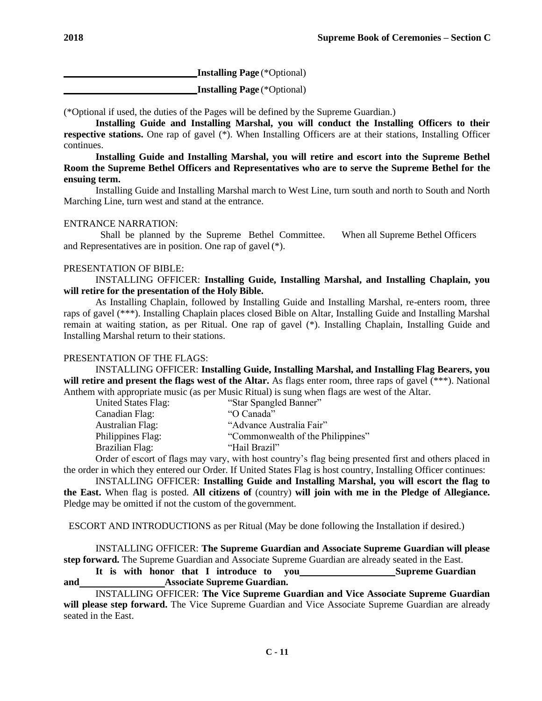**Installing Page** (\*Optional)

**Installing Page** (\*Optional)

(\*Optional if used, the duties of the Pages will be defined by the Supreme Guardian.)

**Installing Guide and Installing Marshal, you will conduct the Installing Officers to their respective stations.** One rap of gavel (\*). When Installing Officers are at their stations, Installing Officer continues.

**Installing Guide and Installing Marshal, you will retire and escort into the Supreme Bethel Room the Supreme Bethel Officers and Representatives who are to serve the Supreme Bethel for the ensuing term.**

Installing Guide and Installing Marshal march to West Line, turn south and north to South and North Marching Line, turn west and stand at the entrance.

# ENTRANCE NARRATION:

Shall be planned by the Supreme Bethel Committee. When all Supreme Bethel Officers and Representatives are in position. One rap of gavel(\*).

# PRESENTATION OF BIBLE:

INSTALLING OFFICER: **Installing Guide, Installing Marshal, and Installing Chaplain, you will retire for the presentation of the Holy Bible.**

As Installing Chaplain, followed by Installing Guide and Installing Marshal, re-enters room, three raps of gavel (\*\*\*). Installing Chaplain places closed Bible on Altar, Installing Guide and Installing Marshal remain at waiting station, as per Ritual. One rap of gavel (\*). Installing Chaplain, Installing Guide and Installing Marshal return to their stations.

## PRESENTATION OF THE FLAGS:

INSTALLING OFFICER: **Installing Guide, Installing Marshal, and Installing Flag Bearers, you will retire and present the flags west of the Altar.** As flags enter room, three raps of gavel (\*\*\*). National Anthem with appropriate music (as per Music Ritual) is sung when flags are west of the Altar.

| the contract of the contract of the contract of the contract of the contract of the contract of the contract of |                                   |
|-----------------------------------------------------------------------------------------------------------------|-----------------------------------|
| United States Flag:                                                                                             | "Star Spangled Banner"            |
| Canadian Flag:                                                                                                  | "O Canada"                        |
| <b>Australian Flag:</b>                                                                                         | "Advance Australia Fair"          |
| Philippines Flag:                                                                                               | "Commonwealth of the Philippines" |
| Brazilian Flag:                                                                                                 | "Hail Brazil"                     |
|                                                                                                                 |                                   |

Order of escort of flags may vary, with host country's flag being presented first and others placed in the order in which they entered our Order. If United States Flag is host country, Installing Officer continues:

INSTALLING OFFICER: **Installing Guide and Installing Marshal, you will escort the flag to the East.** When flag is posted. **All citizens of** (country) **will join with me in the Pledge of Allegiance.**  Pledge may be omitted if not the custom of the government.

ESCORT AND INTRODUCTIONS as per Ritual (May be done following the Installation if desired.)

INSTALLING OFFICER: **The Supreme Guardian and Associate Supreme Guardian will please step forward.** The Supreme Guardian and Associate Supreme Guardian are already seated in the East.

**It is with honor that I introduce to you Supreme Guardian and Associate Supreme Guardian.**

INSTALLING OFFICER: **The Vice Supreme Guardian and Vice Associate Supreme Guardian will please step forward.** The Vice Supreme Guardian and Vice Associate Supreme Guardian are already seated in the East.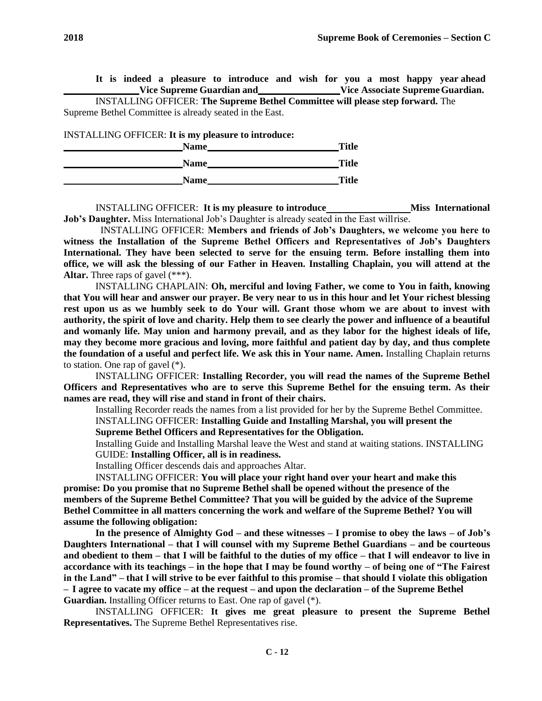**It is indeed a pleasure to introduce and wish for you a most happy year ahead Vice Supreme Guardian and Vice Associate SupremeGuardian.**

INSTALLING OFFICER: **The Supreme Bethel Committee will please step forward.** The Supreme Bethel Committee is already seated in the East.

INSTALLING OFFICER: **It is my pleasure to introduce:**

| Name        | <b>Title</b> |
|-------------|--------------|
| <b>Name</b> | <b>Title</b> |
| <b>Name</b> | <b>Title</b> |

INSTALLING OFFICER: **It is my pleasure to introduce Miss International Job's Daughter.** Miss International Job's Daughter is already seated in the East willrise.

INSTALLING OFFICER: **Members and friends of Job's Daughters, we welcome you here to witness the Installation of the Supreme Bethel Officers and Representatives of Job's Daughters International. They have been selected to serve for the ensuing term. Before installing them into office, we will ask the blessing of our Father in Heaven. Installing Chaplain, you will attend at the Altar.** Three raps of gavel (\*\*\*).

INSTALLING CHAPLAIN: **Oh, merciful and loving Father, we come to You in faith, knowing that You will hear and answer our prayer. Be very near to us in this hour and let Your richest blessing rest upon us as we humbly seek to do Your will. Grant those whom we are about to invest with authority, the spirit of love and charity. Help them to see clearly the power and influence of a beautiful and womanly life. May union and harmony prevail, and as they labor for the highest ideals of life, may they become more gracious and loving, more faithful and patient day by day, and thus complete the foundation of a useful and perfect life. We ask this in Your name. Amen.** Installing Chaplain returns to station. One rap of gavel (\*).

INSTALLING OFFICER: **Installing Recorder, you will read the names of the Supreme Bethel Officers and Representatives who are to serve this Supreme Bethel for the ensuing term. As their names are read, they will rise and stand in front of their chairs.**

Installing Recorder reads the names from a list provided for her by the Supreme Bethel Committee. INSTALLING OFFICER: **Installing Guide and Installing Marshal, you will present the** 

**Supreme Bethel Officers and Representatives for the Obligation.**

Installing Guide and Installing Marshal leave the West and stand at waiting stations. INSTALLING GUIDE: **Installing Officer, all is in readiness.**

Installing Officer descends dais and approaches Altar.

INSTALLING OFFICER: **You will place your right hand over your heart and make this promise: Do you promise that no Supreme Bethel shall be opened without the presence of the members of the Supreme Bethel Committee? That you will be guided by the advice of the Supreme Bethel Committee in all matters concerning the work and welfare of the Supreme Bethel? You will assume the following obligation:**

**In the presence of Almighty God – and these witnesses – I promise to obey the laws – of Job's Daughters International – that I will counsel with my Supreme Bethel Guardians – and be courteous and obedient to them – that I will be faithful to the duties of my office – that I will endeavor to live in accordance with its teachings – in the hope that I may be found worthy – of being one of "The Fairest in the Land" – that I will strive to be ever faithful to this promise – that should I violate this obligation – I agree to vacate my office – at the request – and upon the declaration – of the Supreme Bethel Guardian.** Installing Officer returns to East. One rap of gavel (\*).

INSTALLING OFFICER: **It gives me great pleasure to present the Supreme Bethel Representatives.** The Supreme Bethel Representatives rise.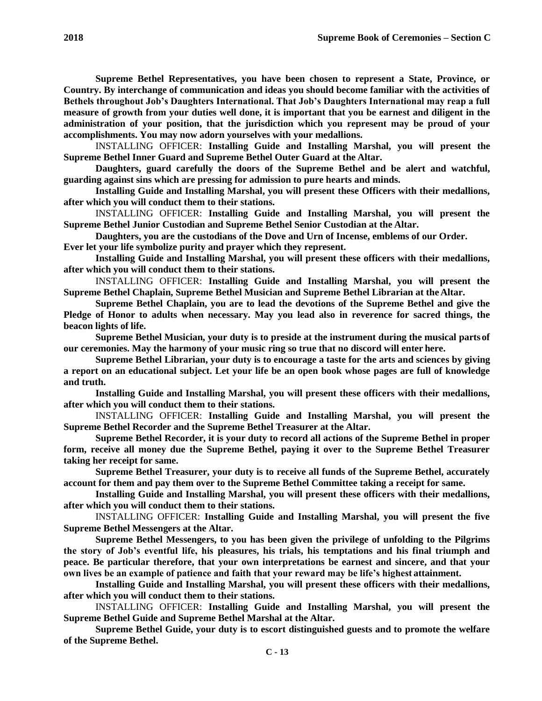**Supreme Bethel Representatives, you have been chosen to represent a State, Province, or Country. By interchange of communication and ideas you should become familiar with the activities of Bethels throughout Job's Daughters International. That Job's Daughters International may reap a full measure of growth from your duties well done, it is important that you be earnest and diligent in the administration of your position, that the jurisdiction which you represent may be proud of your accomplishments. You may now adorn yourselves with your medallions.**

INSTALLING OFFICER: **Installing Guide and Installing Marshal, you will present the Supreme Bethel Inner Guard and Supreme Bethel Outer Guard at the Altar.**

**Daughters, guard carefully the doors of the Supreme Bethel and be alert and watchful, guarding against sins which are pressing for admission to pure hearts and minds.**

**Installing Guide and Installing Marshal, you will present these Officers with their medallions, after which you will conduct them to their stations.**

INSTALLING OFFICER: **Installing Guide and Installing Marshal, you will present the Supreme Bethel Junior Custodian and Supreme Bethel Senior Custodian at the Altar.**

**Daughters, you are the custodians of the Dove and Urn of Incense, emblems of our Order.**

**Ever let your life symbolize purity and prayer which they represent.**

**Installing Guide and Installing Marshal, you will present these officers with their medallions, after which you will conduct them to their stations.**

INSTALLING OFFICER: **Installing Guide and Installing Marshal, you will present the Supreme Bethel Chaplain, Supreme Bethel Musician and Supreme Bethel Librarian at the Altar.**

**Supreme Bethel Chaplain, you are to lead the devotions of the Supreme Bethel and give the Pledge of Honor to adults when necessary. May you lead also in reverence for sacred things, the beacon lights of life.**

**Supreme Bethel Musician, your duty is to preside at the instrument during the musical partsof our ceremonies. May the harmony of your music ring so true that no discord will enter here.**

**Supreme Bethel Librarian, your duty is to encourage a taste for the arts and sciences by giving a report on an educational subject. Let your life be an open book whose pages are full of knowledge and truth.**

**Installing Guide and Installing Marshal, you will present these officers with their medallions, after which you will conduct them to their stations.**

INSTALLING OFFICER: **Installing Guide and Installing Marshal, you will present the Supreme Bethel Recorder and the Supreme Bethel Treasurer at the Altar.**

**Supreme Bethel Recorder, it is your duty to record all actions of the Supreme Bethel in proper form, receive all money due the Supreme Bethel, paying it over to the Supreme Bethel Treasurer taking her receipt for same.**

**Supreme Bethel Treasurer, your duty is to receive all funds of the Supreme Bethel, accurately account for them and pay them over to the Supreme Bethel Committee taking a receipt for same.**

**Installing Guide and Installing Marshal, you will present these officers with their medallions, after which you will conduct them to their stations.**

INSTALLING OFFICER: **Installing Guide and Installing Marshal, you will present the five Supreme Bethel Messengers at the Altar.**

**Supreme Bethel Messengers, to you has been given the privilege of unfolding to the Pilgrims the story of Job's eventful life, his pleasures, his trials, his temptations and his final triumph and peace. Be particular therefore, that your own interpretations be earnest and sincere, and that your own lives be an example of patience and faith that your reward may be life's highest attainment.**

**Installing Guide and Installing Marshal, you will present these officers with their medallions, after which you will conduct them to their stations.**

INSTALLING OFFICER: **Installing Guide and Installing Marshal, you will present the Supreme Bethel Guide and Supreme Bethel Marshal at the Altar.**

**Supreme Bethel Guide, your duty is to escort distinguished guests and to promote the welfare of the Supreme Bethel.**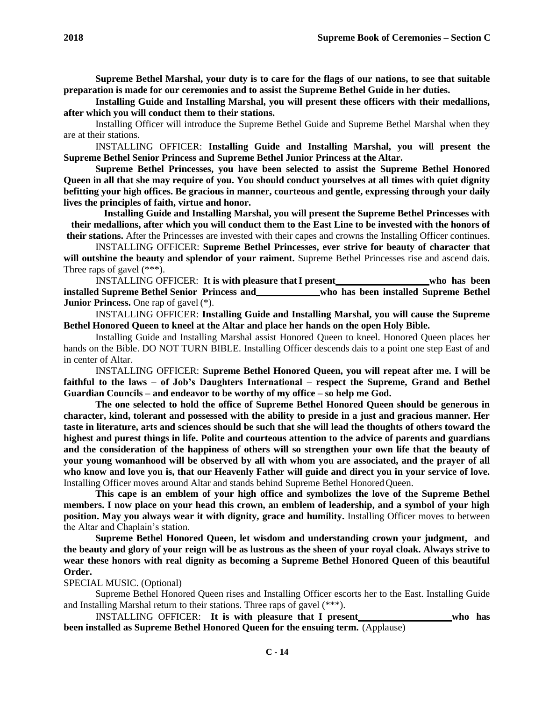**Supreme Bethel Marshal, your duty is to care for the flags of our nations, to see that suitable preparation is made for our ceremonies and to assist the Supreme Bethel Guide in her duties.**

**Installing Guide and Installing Marshal, you will present these officers with their medallions, after which you will conduct them to their stations.**

Installing Officer will introduce the Supreme Bethel Guide and Supreme Bethel Marshal when they are at their stations.

INSTALLING OFFICER: **Installing Guide and Installing Marshal, you will present the Supreme Bethel Senior Princess and Supreme Bethel Junior Princess at the Altar.**

**Supreme Bethel Princesses, you have been selected to assist the Supreme Bethel Honored Queen in all that she may require of you. You should conduct yourselves at all times with quiet dignity befitting your high offices. Be gracious in manner, courteous and gentle, expressing through your daily lives the principles of faith, virtue and honor.**

**Installing Guide and Installing Marshal, you will present the Supreme Bethel Princesses with their medallions, after which you will conduct them to the East Line to be invested with the honors of their stations.** After the Princesses are invested with their capes and crowns the Installing Officer continues.

INSTALLING OFFICER: **Supreme Bethel Princesses, ever strive for beauty of character that will outshine the beauty and splendor of your raiment.** Supreme Bethel Princesses rise and ascend dais. Three raps of gavel (\*\*\*).

INSTALLING OFFICER: **It is with pleasure thatI present who has been installed Supreme Bethel Senior Princess and who has been installed Supreme Bethel Junior Princess.** One rap of gavel  $(*)$ .

INSTALLING OFFICER: **Installing Guide and Installing Marshal, you will cause the Supreme Bethel Honored Queen to kneel at the Altar and place her hands on the open Holy Bible.**

Installing Guide and Installing Marshal assist Honored Queen to kneel. Honored Queen places her hands on the Bible. DO NOT TURN BIBLE. Installing Officer descends dais to a point one step East of and in center of Altar.

INSTALLING OFFICER: **Supreme Bethel Honored Queen, you will repeat after me. I will be faithful to the laws – of Job's Daughters International – respect the Supreme, Grand and Bethel Guardian Councils – and endeavor to be worthy of my office – so help me God.**

**The one selected to hold the office of Supreme Bethel Honored Queen should be generous in character, kind, tolerant and possessed with the ability to preside in a just and gracious manner. Her taste in literature, arts and sciences should be such that she will lead the thoughts of others toward the highest and purest things in life. Polite and courteous attention to the advice of parents and guardians and the consideration of the happiness of others will so strengthen your own life that the beauty of your young womanhood will be observed by all with whom you are associated, and the prayer of all who know and love you is, that our Heavenly Father will guide and direct you in your service of love.**  Installing Officer moves around Altar and stands behind Supreme Bethel HonoredQueen.

**This cape is an emblem of your high office and symbolizes the love of the Supreme Bethel members. I now place on your head this crown, an emblem of leadership, and a symbol of your high position. May you always wear it with dignity, grace and humility.** Installing Officer moves to between the Altar and Chaplain's station.

**Supreme Bethel Honored Queen, let wisdom and understanding crown your judgment, and the beauty and glory of your reign will be as lustrous as the sheen of your royal cloak. Always strive to wear these honors with real dignity as becoming a Supreme Bethel Honored Queen of this beautiful Order.**

SPECIAL MUSIC. (Optional)

Supreme Bethel Honored Queen rises and Installing Officer escorts her to the East. Installing Guide and Installing Marshal return to their stations. Three raps of gavel (\*\*\*).

INSTALLING OFFICER: **It is with pleasure that I present who has been installed as Supreme Bethel Honored Queen for the ensuing term.** (Applause)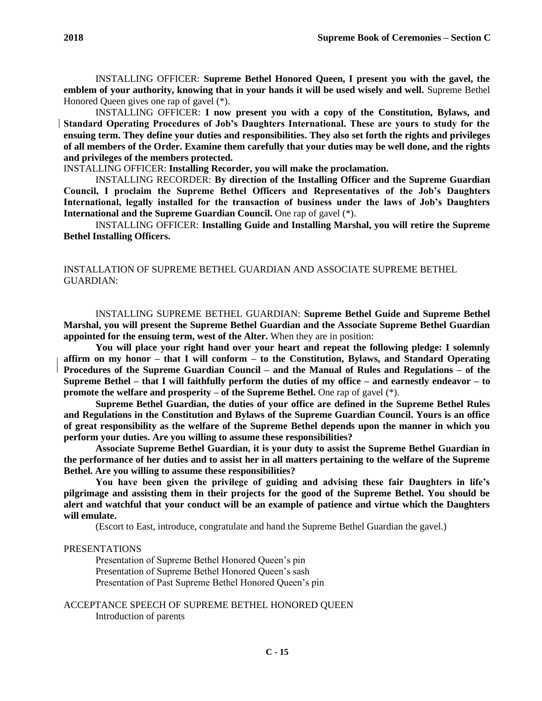INSTALLING OFFICER: **I now present you with a copy of the Constitution, Bylaws, and Standard Operating Procedures of Job's Daughters International. These are yours to study for the ensuing term. They define your duties and responsibilities. They also set forth the rights and privileges of all members of the Order. Examine them carefully that your duties may be well done, and the rights and privileges of the members protected.**

INSTALLING OFFICER: **Installing Recorder, you will make the proclamation.**

INSTALLING RECORDER: **By direction of the Installing Officer and the Supreme Guardian Council, I proclaim the Supreme Bethel Officers and Representatives of the Job's Daughters International, legally installed for the transaction of business under the laws of Job's Daughters International and the Supreme Guardian Council.** One rap of gavel (\*).

INSTALLING OFFICER: **Installing Guide and Installing Marshal, you will retire the Supreme Bethel Installing Officers.**

# INSTALLATION OF SUPREME BETHEL GUARDIAN AND ASSOCIATE SUPREME BETHEL GUARDIAN:

INSTALLING SUPREME BETHEL GUARDIAN: **Supreme Bethel Guide and Supreme Bethel Marshal, you will present the Supreme Bethel Guardian and the Associate Supreme Bethel Guardian appointed for the ensuing term, west of the Alter.** When they are in position:

**You will place your right hand over your heart and repeat the following pledge: I solemnly affirm on my honor – that I will conform – to the Constitution, Bylaws, and Standard Operating Procedures of the Supreme Guardian Council – and the Manual of Rules and Regulations – of the Supreme Bethel – that I will faithfully perform the duties of my office – and earnestly endeavor – to promote the welfare and prosperity – of the Supreme Bethel.** One rap of gavel (\*).

**Supreme Bethel Guardian, the duties of your office are defined in the Supreme Bethel Rules and Regulations in the Constitution and Bylaws of the Supreme Guardian Council. Yours is an office of great responsibility as the welfare of the Supreme Bethel depends upon the manner in which you perform your duties. Are you willing to assume these responsibilities?**

**Associate Supreme Bethel Guardian, it is your duty to assist the Supreme Bethel Guardian in the performance of her duties and to assist her in all matters pertaining to the welfare of the Supreme Bethel. Are you willing to assume these responsibilities?**

**You have been given the privilege of guiding and advising these fair Daughters in life's pilgrimage and assisting them in their projects for the good of the Supreme Bethel. You should be alert and watchful that your conduct will be an example of patience and virtue which the Daughters will emulate.**

(Escort to East, introduce, congratulate and hand the Supreme Bethel Guardian the gavel.)

## PRESENTATIONS

Presentation of Supreme Bethel Honored Queen's pin Presentation of Supreme Bethel Honored Queen's sash Presentation of Past Supreme Bethel Honored Queen's pin

ACCEPTANCE SPEECH OF SUPREME BETHEL HONORED QUEEN Introduction of parents